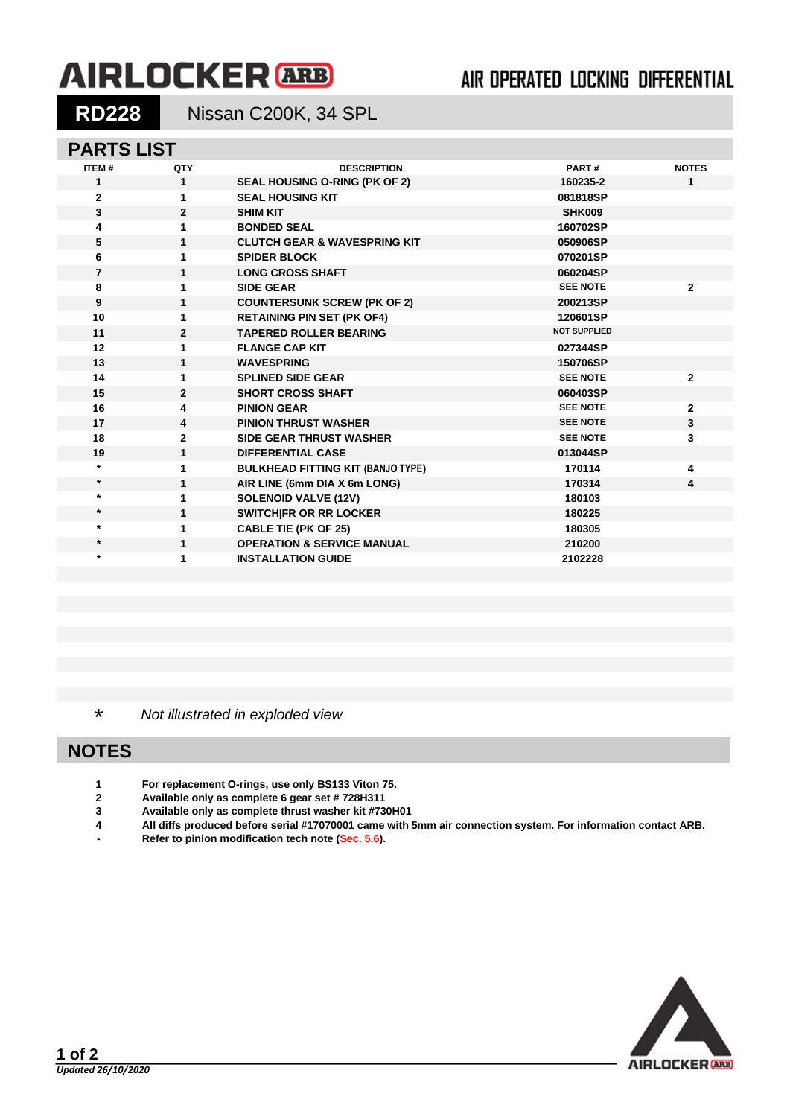# **AIRLOCKER** ARB

## AIR OPERATED LOCKING DIFFERENTIAL

**RD228** Nissan C200K, 34 SPL

#### **PARTS LIST**

| <b>ITEM#</b>   | QTY            | <b>DESCRIPTION</b>                       | PART#               | <b>NOTES</b>   |
|----------------|----------------|------------------------------------------|---------------------|----------------|
| 1              | $\mathbf{1}$   | SEAL HOUSING O-RING (PK OF 2)            | 160235-2            | 1              |
| $\overline{2}$ | 1              | <b>SEAL HOUSING KIT</b>                  | 081818SP            |                |
| $\mathbf{3}$   | $\mathbf{2}$   | <b>SHIM KIT</b>                          | SHK009              |                |
| 4              | 1              | <b>BONDED SEAL</b>                       | 160702SP            |                |
| 5              | 1              | <b>CLUTCH GEAR &amp; WAVESPRING KIT</b>  | 050906SP            |                |
| 6              | 1              | <b>SPIDER BLOCK</b>                      | 070201SP            |                |
| $\overline{7}$ | 1              | <b>LONG CROSS SHAFT</b>                  | 060204SP            |                |
| 8              | 1              | <b>SIDE GEAR</b>                         | <b>SEE NOTE</b>     | $\mathbf{2}$   |
| 9              | 1              | <b>COUNTERSUNK SCREW (PK OF 2)</b>       | 200213SP            |                |
| 10             | 1              | <b>RETAINING PIN SET (PK OF4)</b>        | 120601SP            |                |
| 11             | $\overline{2}$ | <b>TAPERED ROLLER BEARING</b>            | <b>NOT SUPPLIED</b> |                |
| 12             | 1              | <b>FLANGE CAP KIT</b>                    | 027344SP            |                |
| 13             | 1              | <b>WAVESPRING</b>                        | 150706SP            |                |
| 14             | 1              | <b>SPLINED SIDE GEAR</b>                 | <b>SEE NOTE</b>     | $\mathbf{2}$   |
| 15             | $\mathbf{2}$   | <b>SHORT CROSS SHAFT</b>                 | 060403SP            |                |
| 16             | 4              | <b>PINION GEAR</b>                       | <b>SEE NOTE</b>     | $\overline{2}$ |
| 17             | 4              | <b>PINION THRUST WASHER</b>              | <b>SEE NOTE</b>     | 3              |
| 18             | $\mathbf{2}$   | <b>SIDE GEAR THRUST WASHER</b>           | <b>SEE NOTE</b>     | 3              |
| 19             | $\mathbf{1}$   | <b>DIFFERENTIAL CASE</b>                 | 013044SP            |                |
| $\star$        | 1              | <b>BULKHEAD FITTING KIT (BANJO TYPE)</b> | 170114              | 4              |
| $\star$        | 1              | AIR LINE (6mm DIA X 6m LONG)             | 170314              | 4              |
| $\star$        | 1              | <b>SOLENOID VALVE (12V)</b>              | 180103              |                |
| $\star$        | 1              | <b>SWITCHIFR OR RR LOCKER</b>            | 180225              |                |
| $\star$        | 1              | <b>CABLE TIE (PK OF 25)</b>              | 180305              |                |
| $\star$        | 1              | <b>OPERATION &amp; SERVICE MANUAL</b>    | 210200              |                |
| $\star$        | 1              | <b>INSTALLATION GUIDE</b>                | 2102228             |                |
|                |                |                                          |                     |                |

\* *Not illustrated in exploded view*

## **NOTES**

- **1 For replacement O-rings, use only BS133 Viton 75.**
- **2 Available only as complete 6 gear set # 728H311**
- **3 Available only as complete thrust washer kit #730H01**
- **4 All diffs produced before serial #17070001 came with 5mm air connection system. For information contact ARB.**
- **- Refer to pinion modification tech note [\(Sec. 5.6\)](5-06.pdf).**